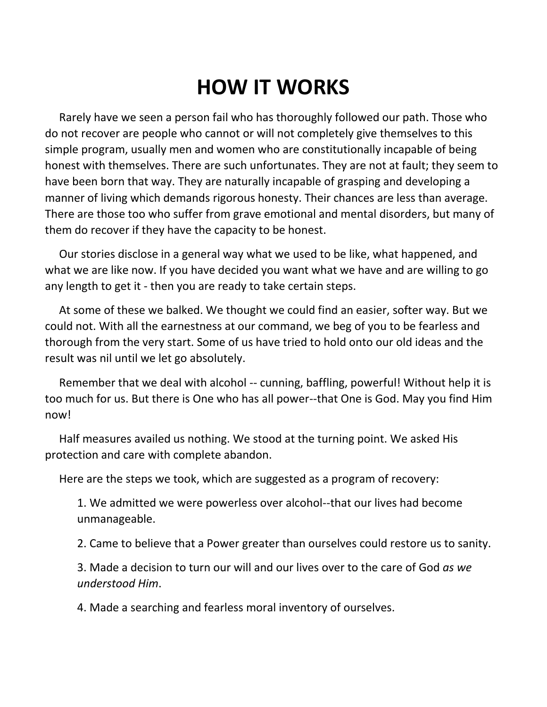## **HOW IT WORKS**

 Rarely have we seen a person fail who has thoroughly followed our path. Those who do not recover are people who cannot or will not completely give themselves to this simple program, usually men and women who are constitutionally incapable of being honest with themselves. There are such unfortunates. They are not at fault; they seem to have been born that way. They are naturally incapable of grasping and developing a manner of living which demands rigorous honesty. Their chances are less than average. There are those too who suffer from grave emotional and mental disorders, but many of them do recover if they have the capacity to be honest.

 Our stories disclose in a general way what we used to be like, what happened, and what we are like now. If you have decided you want what we have and are willing to go any length to get it - then you are ready to take certain steps.

 At some of these we balked. We thought we could find an easier, softer way. But we could not. With all the earnestness at our command, we beg of you to be fearless and thorough from the very start. Some of us have tried to hold onto our old ideas and the result was nil until we let go absolutely.

 Remember that we deal with alcohol -- cunning, baffling, powerful! Without help it is too much for us. But there is One who has all power--that One is God. May you find Him now!

 Half measures availed us nothing. We stood at the turning point. We asked His protection and care with complete abandon.

Here are the steps we took, which are suggested as a program of recovery:

1. We admitted we were powerless over alcohol--that our lives had become unmanageable.

2. Came to believe that a Power greater than ourselves could restore us to sanity.

3. Made a decision to turn our will and our lives over to the care of God *as we understood Him*.

4. Made a searching and fearless moral inventory of ourselves.